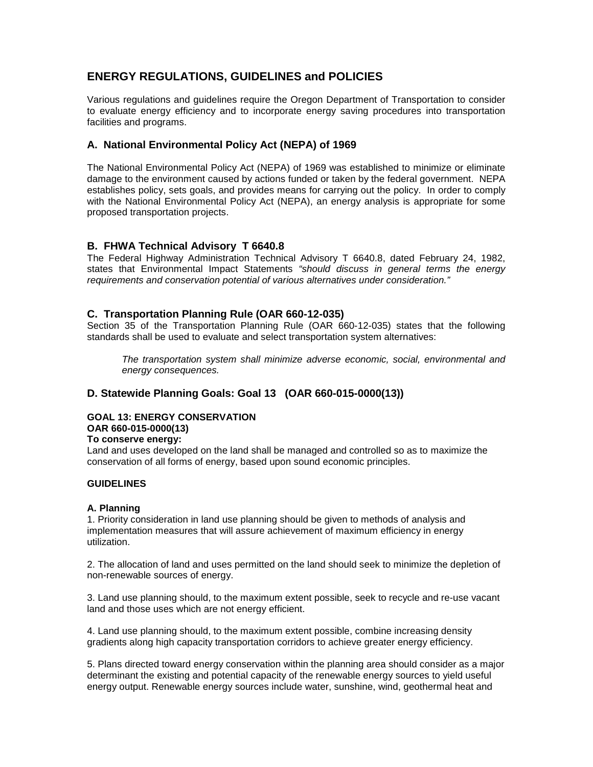# **ENERGY REGULATIONS, GUIDELINES and POLICIES**

 Various regulations and guidelines require the Oregon Department of Transportation to consider to evaluate energy efficiency and to incorporate energy saving procedures into transportation facilities and programs.

## **A. National Environmental Policy Act (NEPA) of 1969**

 The National Environmental Policy Act (NEPA) of 1969 was established to minimize or eliminate damage to the environment caused by actions funded or taken by the federal government. NEPA establishes policy, sets goals, and provides means for carrying out the policy. In order to comply with the National Environmental Policy Act (NEPA), an energy analysis is appropriate for some proposed transportation projects.

## **B. FHWA Technical Advisory T 6640.8**

 The Federal Highway Administration Technical Advisory T 6640.8, dated February 24, 1982, states that Environmental Impact Statements "should discuss in general terms the energy requirements and conservation potential of various alternatives under consideration."

## **C. Transportation Planning Rule (OAR 660-12-035)**

 Section 35 of the Transportation Planning Rule (OAR 660-12-035) states that the following standards shall be used to evaluate and select transportation system alternatives:

 The transportation system shall minimize adverse economic, social, environmental and energy consequences.

## **D. Statewide Planning Goals: Goal 13 (OAR 660-015-0000(13))**

# **GOAL 13: ENERGY CONSERVATION OAR 660-015-0000(13)**

#### **To conserve energy:**

 Land and uses developed on the land shall be managed and controlled so as to maximize the conservation of all forms of energy, based upon sound economic principles.

#### **GUIDELINES**

### **A. Planning**

 1. Priority consideration in land use planning should be given to methods of analysis and implementation measures that will assure achievement of maximum efficiency in energy utilization.

 2. The allocation of land and uses permitted on the land should seek to minimize the depletion of non-renewable sources of energy.

 3. Land use planning should, to the maximum extent possible, seek to recycle and re-use vacant land and those uses which are not energy efficient.

 4. Land use planning should, to the maximum extent possible, combine increasing density gradients along high capacity transportation corridors to achieve greater energy efficiency.

 5. Plans directed toward energy conservation within the planning area should consider as a major determinant the existing and potential capacity of the renewable energy sources to yield useful energy output. Renewable energy sources include water, sunshine, wind, geothermal heat and